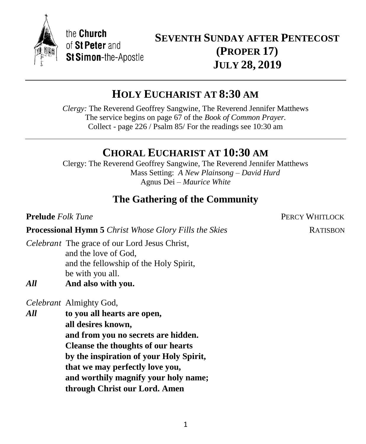

the Church of St Peter and **St Simon-the-Apostle** 

# **SEVENTH SUNDAY AFTER PENTECOST (PROPER 17) JULY 28, 2019**

# **HOLY EUCHARIST AT 8:30 AM**

*Clergy:* The Reverend Geoffrey Sangwine, The Reverend Jennifer Matthews The service begins on page 67 of the *Book of Common Prayer.* Collect - page 226 / Psalm 85/ For the readings see 10:30 am

# **CHORAL EUCHARIST AT 10:30 AM**

Clergy: The Reverend Geoffrey Sangwine, The Reverend Jennifer Matthews Mass Setting: *A New Plainsong – David Hurd* Agnus Dei *– Maurice White*

# **The Gathering of the Community**

**Prelude** *Folk Tune PERCY WHITLOCK* 

**Processional Hymn 5** *Christ Whose Glory Fills the Skies* RATISBON

*Celebrant* The grace of our Lord Jesus Christ, and the love of God, and the fellowship of the Holy Spirit, be with you all.

*All* **And also with you.**

*Celebrant* Almighty God,

*All* **to you all hearts are open, all desires known, and from you no secrets are hidden. Cleanse the thoughts of our hearts by the inspiration of your Holy Spirit, that we may perfectly love you, and worthily magnify your holy name; through Christ our Lord. Amen**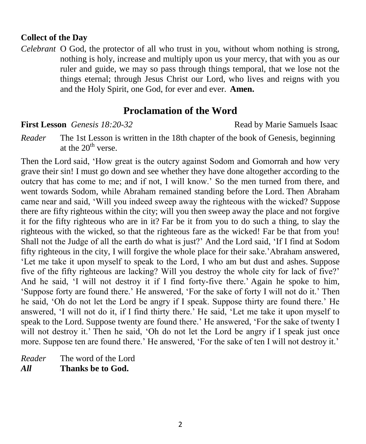#### **Collect of the Day**

*Celebrant* O God, the protector of all who trust in you, without whom nothing is strong, nothing is holy, increase and multiply upon us your mercy, that with you as our ruler and guide, we may so pass through things temporal, that we lose not the things eternal; through Jesus Christ our Lord, who lives and reigns with you and the Holy Spirit, one God, for ever and ever. **Amen.** 

## **Proclamation of the Word**

**First Lesson** *Genesis 18:20-32* **Read by Marie Samuels Isaac** 

*Reader* The 1st Lesson is written in the 18th chapter of the book of Genesis, beginning at the  $20<sup>th</sup>$  verse.

Then the Lord said, 'How great is the outcry against Sodom and Gomorrah and how very grave their sin! I must go down and see whether they have done altogether according to the outcry that has come to me; and if not, I will know.' So the men turned from there, and went towards Sodom, while Abraham remained standing before the Lord. Then Abraham came near and said, 'Will you indeed sweep away the righteous with the wicked? Suppose there are fifty righteous within the city; will you then sweep away the place and not forgive it for the fifty righteous who are in it? Far be it from you to do such a thing, to slay the righteous with the wicked, so that the righteous fare as the wicked! Far be that from you! Shall not the Judge of all the earth do what is just?' And the Lord said, 'If I find at Sodom fifty righteous in the city, I will forgive the whole place for their sake.'Abraham answered, 'Let me take it upon myself to speak to the Lord, I who am but dust and ashes. Suppose five of the fifty righteous are lacking? Will you destroy the whole city for lack of five?' And he said, 'I will not destroy it if I find forty-five there.' Again he spoke to him, 'Suppose forty are found there.' He answered, 'For the sake of forty I will not do it.' Then he said, 'Oh do not let the Lord be angry if I speak. Suppose thirty are found there.' He answered, 'I will not do it, if I find thirty there.' He said, 'Let me take it upon myself to speak to the Lord. Suppose twenty are found there.' He answered, 'For the sake of twenty I will not destroy it.' Then he said, 'Oh do not let the Lord be angry if I speak just once more. Suppose ten are found there.' He answered, 'For the sake of ten I will not destroy it.'

*Reader* The word of the Lord *All* **Thanks be to God.**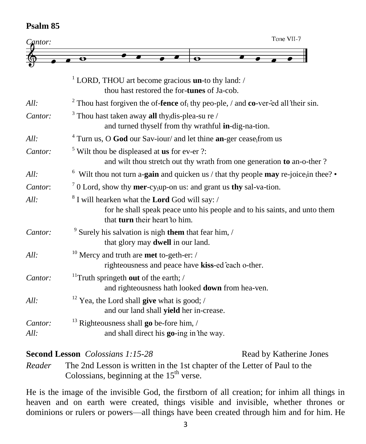## **Psalm 85**

| $C_{\mathbf{a}}$ ntor: | Tone VII-7                                                                                                                                                                     |
|------------------------|--------------------------------------------------------------------------------------------------------------------------------------------------------------------------------|
|                        | $\bullet$<br>o                                                                                                                                                                 |
|                        |                                                                                                                                                                                |
|                        | <sup>1</sup> LORD, THOU art become gracious <b>un</b> -to thy land: /<br>thou hast restored the for-tunes of Ja-cob.                                                           |
| All:                   | <sup>2</sup> Thou hast forgiven the of- <b>fence</b> of thy peo-ple, / and <b>co</b> -ver-ed all their sin.                                                                    |
| Cantor:                | <sup>3</sup> Thou hast taken away <b>all</b> thy <sub>1</sub> dis-plea-su re /<br>and turned thyself from thy wrathful in-dig-na-tion.                                         |
| All:                   | $4$ Turn us, O God our Sav-iour/ and let thine an-ger cease, from us                                                                                                           |
| Cantor:                | $5$ Wilt thou be displeased at <b>us</b> for ev-er ?:<br>and wilt thou stretch out thy wrath from one generation to an-o-ther?                                                 |
| All:                   | $6$ Wilt thou not turn a-gain and quicken us / that thy people may re-joice; in thee?                                                                                          |
| Cantor:                | $70$ Lord, show thy mer-cy <sub>l</sub> up-on us: and grant us thy sal-va-tion.                                                                                                |
| All:                   | <sup>8</sup> I will hearken what the <b>Lord</b> God will say: /<br>for he shall speak peace unto his people and to his saints, and unto them<br>that turn their heart to him. |
| Cantor:                | Surely his salvation is nigh them that fear him, /<br>that glory may <b>dwell</b> in our land.                                                                                 |
| All:                   | <sup>10</sup> Mercy and truth are <b>met</b> to-geth-er: /<br>righteousness and peace have kiss-ed each o-ther.                                                                |
| Cantor:                | <sup>11</sup> Truth springeth out of the earth; $\frac{1}{2}$<br>and righteousness hath looked down from hea-ven.                                                              |
| All:                   | <sup>12</sup> Yea, the Lord shall <b>give</b> what is good; /<br>and our land shall yield her in-crease.                                                                       |
| Cantor:<br>All:        | $^{13}$ Righteousness shall go be-fore him, /<br>and shall direct his go-ing in the way.                                                                                       |

**Second Lesson** *Colossians 1:15-28* Read by Katherine Jones

*Reader* The 2nd Lesson is written in the 1st chapter of the Letter of Paul to the Colossians, beginning at the  $15<sup>th</sup>$  verse.

He is the image of the invisible God, the firstborn of all creation; for inhim all things in heaven and on earth were created, things visible and invisible, whether thrones or dominions or rulers or powers—all things have been created through him and for him. He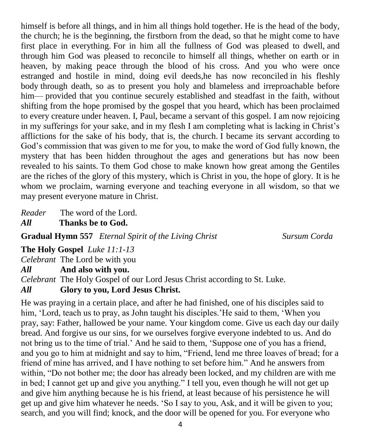himself is before all things, and in him all things hold together. He is the head of the body, the church; he is the beginning, the firstborn from the dead, so that he might come to have first place in everything. For in him all the fullness of God was pleased to dwell, and through him God was pleased to reconcile to himself all things, whether on earth or in heaven, by making peace through the blood of his cross. And you who were once estranged and hostile in mind, doing evil deeds,he has now reconciled in his fleshly body through death, so as to present you holy and blameless and irreproachable before him— provided that you continue securely established and steadfast in the faith, without shifting from the hope promised by the gospel that you heard, which has been proclaimed to every creature under heaven. I, Paul, became a servant of this gospel. I am now rejoicing in my sufferings for your sake, and in my flesh I am completing what is lacking in Christ's afflictions for the sake of his body, that is, the church. I became its servant according to God's commission that was given to me for you, to make the word of God fully known, the mystery that has been hidden throughout the ages and generations but has now been revealed to his saints. To them God chose to make known how great among the Gentiles are the riches of the glory of this mystery, which is Christ in you, the hope of glory. It is he whom we proclaim, warning everyone and teaching everyone in all wisdom, so that we may present everyone mature in Christ.

*Reader* The word of the Lord.

*All* **Thanks be to God.**

**Gradual Hymn 557** *Eternal Spirit of the Living Christ Sursum Corda*

**The Holy Gospel** *Luke 11:1-13*

*Celebrant* The Lord be with you

*All* **And also with you.**

*Celebrant* The Holy Gospel of our Lord Jesus Christ according to St. Luke.

## *All* **Glory to you, Lord Jesus Christ.**

He was praying in a certain place, and after he had finished, one of his disciples said to him, 'Lord, teach us to pray, as John taught his disciples.'He said to them, 'When you pray, say: Father, hallowed be your name. Your kingdom come. Give us each day our daily bread. And forgive us our sins, for we ourselves forgive everyone indebted to us. And do not bring us to the time of trial.' And he said to them, 'Suppose one of you has a friend, and you go to him at midnight and say to him, "Friend, lend me three loaves of bread; for a friend of mine has arrived, and I have nothing to set before him." And he answers from within, "Do not bother me; the door has already been locked, and my children are with me in bed; I cannot get up and give you anything." I tell you, even though he will not get up and give him anything because he is his friend, at least because of his persistence he will get up and give him whatever he needs. 'So I say to you, Ask, and it will be given to you; search, and you will find; knock, and the door will be opened for you. For everyone who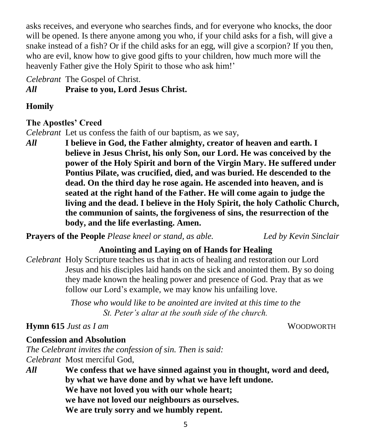asks receives, and everyone who searches finds, and for everyone who knocks, the door will be opened. Is there anyone among you who, if your child asks for a fish, will give a snake instead of a fish? Or if the child asks for an egg, will give a scorpion? If you then, who are evil, know how to give good gifts to your children, how much more will the heavenly Father give the Holy Spirit to those who ask him!'

*Celebrant* The Gospel of Christ.

*All* **Praise to you, Lord Jesus Christ.**

## **Homily**

## **The Apostles' Creed**

*Celebrant* Let us confess the faith of our baptism, as we say,

*All* **I believe in God, the Father almighty, creator of heaven and earth. I believe in Jesus Christ, his only Son, our Lord. He was conceived by the power of the Holy Spirit and born of the Virgin Mary. He suffered under Pontius Pilate, was crucified, died, and was buried. He descended to the dead. On the third day he rose again. He ascended into heaven, and is seated at the right hand of the Father. He will come again to judge the living and the dead. I believe in the Holy Spirit, the holy Catholic Church, the communion of saints, the forgiveness of sins, the resurrection of the body, and the life everlasting. Amen.**

**Prayers of the People** *Please kneel or stand, as able. Led by Kevin Sinclair*

## **Anointing and Laying on of Hands for Healing**

*Celebrant* Holy Scripture teaches us that in acts of healing and restoration our Lord Jesus and his disciples laid hands on the sick and anointed them. By so doing they made known the healing power and presence of God. Pray that as we follow our Lord's example, we may know his unfailing love.

> *Those who would like to be anointed are invited at this time to the St. Peter's altar at the south side of the church.*

# **Hymn 615** *Just as I am* WOODWORTH

## **Confession and Absolution**

*The Celebrant invites the confession of sin. Then is said: Celebrant* Most merciful God,

*All* **We confess that we have sinned against you in thought, word and deed, by what we have done and by what we have left undone. We have not loved you with our whole heart; we have not loved our neighbours as ourselves. We are truly sorry and we humbly repent.**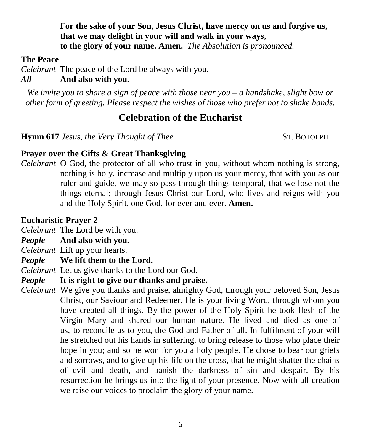**For the sake of your Son, Jesus Christ, have mercy on us and forgive us, that we may delight in your will and walk in your ways, to the glory of your name. Amen.** *The Absolution is pronounced.*

#### **The Peace**

*Celebrant* The peace of the Lord be always with you.

## *All* **And also with you.**

*We invite you to share a sign of peace with those near you – a handshake, slight bow or other form of greeting. Please respect the wishes of those who prefer not to shake hands.*

## **Celebration of the Eucharist**

**Hymn 617** *Jesus, the Very Thought of Thee* ST. BOTOLPH

#### **Prayer over the Gifts & Great Thanksgiving**

*Celebrant* O God, the protector of all who trust in you, without whom nothing is strong, nothing is holy, increase and multiply upon us your mercy, that with you as our ruler and guide, we may so pass through things temporal, that we lose not the things eternal; through Jesus Christ our Lord, who lives and reigns with you and the Holy Spirit, one God, for ever and ever. **Amen.**

#### **Eucharistic Prayer 2**

*Celebrant* The Lord be with you.

- *People* **And also with you.**
- *Celebrant* Lift up your hearts.
- *People* **We lift them to the Lord.**

*Celebrant* Let us give thanks to the Lord our God.

- *People* **It is right to give our thanks and praise.**
- *Celebrant* We give you thanks and praise, almighty God, through your beloved Son, Jesus Christ, our Saviour and Redeemer. He is your living Word, through whom you have created all things. By the power of the Holy Spirit he took flesh of the Virgin Mary and shared our human nature. He lived and died as one of us, to reconcile us to you, the God and Father of all. In fulfilment of your will he stretched out his hands in suffering, to bring release to those who place their hope in you; and so he won for you a holy people. He chose to bear our griefs and sorrows, and to give up his life on the cross, that he might shatter the chains of evil and death, and banish the darkness of sin and despair. By his resurrection he brings us into the light of your presence. Now with all creation we raise our voices to proclaim the glory of your name.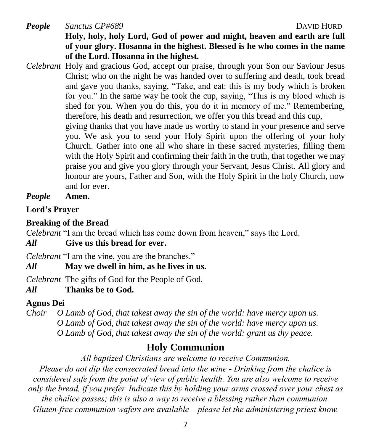*People Sanctus CP#689* DAVID HURD **Holy, holy, holy Lord, God of power and might, heaven and earth are full of your glory. Hosanna in the highest. Blessed is he who comes in the name of the Lord. Hosanna in the highest.**

*Celebrant* Holy and gracious God, accept our praise, through your Son our Saviour Jesus Christ; who on the night he was handed over to suffering and death, took bread and gave you thanks, saying, "Take, and eat: this is my body which is broken for you." In the same way he took the cup, saying, "This is my blood which is shed for you. When you do this, you do it in memory of me." Remembering, therefore, his death and resurrection, we offer you this bread and this cup, giving thanks that you have made us worthy to stand in your presence and serve you. We ask you to send your Holy Spirit upon the offering of your holy Church. Gather into one all who share in these sacred mysteries, filling them with the Holy Spirit and confirming their faith in the truth, that together we may praise you and give you glory through your Servant, Jesus Christ. All glory and

honour are yours, Father and Son, with the Holy Spirit in the holy Church, now

and for ever. *People* **Amen.**

**Lord's Prayer**

## **Breaking of the Bread**

*Celebrant* "I am the bread which has come down from heaven," says the Lord.

## *All* **Give us this bread for ever.**

*Celebrant* "I am the vine, you are the branches."

*All* **May we dwell in him, as he lives in us.**

*Celebrant* The gifts of God for the People of God.

## *All* **Thanks be to God.**

## **Agnus Dei**

*Choir O Lamb of God, that takest away the sin of the world: have mercy upon us. O Lamb of God, that takest away the sin of the world: have mercy upon us. O Lamb of God, that takest away the sin of the world: grant us thy peace.*

## **Holy Communion**

*All baptized Christians are welcome to receive Communion.*

*Please do not dip the consecrated bread into the wine - Drinking from the chalice is considered safe from the point of view of public health. You are also welcome to receive only the bread, if you prefer. Indicate this by holding your arms crossed over your chest as the chalice passes; this is also a way to receive a blessing rather than communion. Gluten-free communion wafers are available – please let the administering priest know.*